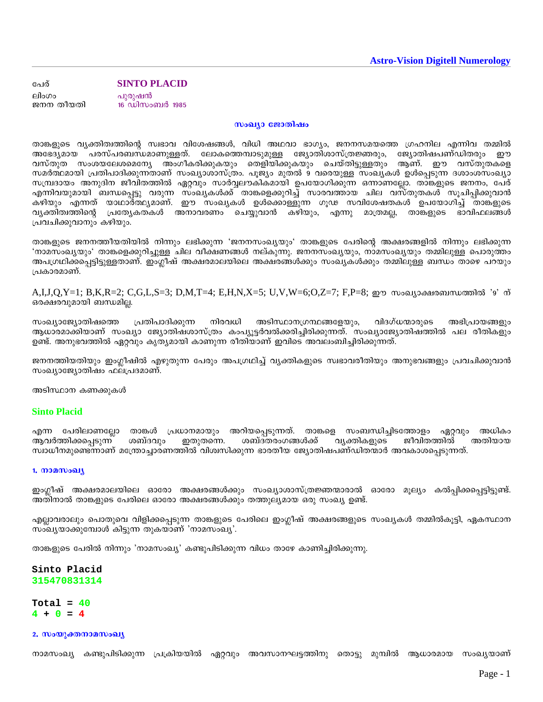**SINTO PLACID** പേര് ലിംഗം പുരുഷൻ 16 ഡിസംബർ 1985 ജനന തീയതി

സംഖ്യാ ജോതിഷം

താങ്കളുടെ വ്യക്തിത്വത്തിന്റെ സ്വഭാവ വിശേഷങ്ങൾ, വിധി അഥവാ ഭാഗ്യം, ജനനസമയത്തെ ഗ്രഹനില എന്നിവ തമ്മിൽ പരസ്പരബന്ധമാണുള്ളത്. ലോകത്തെമ്പാടുമുള്ള ജ്യോതിശാസ്ത്രജ്ഞരും, ജ്യോതിഷപണ്ഡിതരും ഈ അഭേദ്യമായ വസ്തുത സംശയലേശമെന്യേ അംഗീകരിക്കുകയും തെളിയിക്കുകയും ചെയ്തിട്ടുള്ളതും ആണ്. ഈ വസ്തുതക്കള സമർത്ഥമായി പ്രതിപാദിക്കുന്നതാണ് സംഖ്യാശാസ്ത്രം. പൂജ്യം മുതൽ 9 വരെയുള്ള സംഖ്യകൾ ഉൾപ്പെടുന്ന ദശാംശസംഖ്യാ സമ്പ്രദായം അനുദിന ജീവിതത്തിൽ ഏറ്റവും സാർവ്വലൗകികമായി ഉപയോഗിക്കുന്ന ഒന്നാണല്ലോ. താങ്കളുടെ ജനനം, പേര് എന്നിവയുമായി ബന്ധപ്പെട്ടു വരുന്ന സ്ംഖ്യകൾക്ക് താങ്കളെക്കുറിച്ച് സാരവത്തായ ചില വസ്തുതകൾ സൂചിപ്പിക്കുവാൻ കഴിയും എന്നത് യാഥാർത്ഥ്യമാണ്. ഈ സംഖ്യകൾ ഉൾക്കൊള്ളുന്ന ഗൂഢ സവിശേഷതകൾ ഉപയോഗിച്ച് താങ്കളുടെ മാത്രമല്ല, താങ്കളുടെ ഭാവിഫലങ്ങൾ വ്യക്തിത്വത്തിന്റെ പ്രത്യേകതകൾ അനാവരണം ചെയ്യുവാൻ കഴിയും, എന്നു പ്രവചിക്കുവാനും കഴിയും.

താങ്കളുടെ ജനനത്തീയതിയിൽ നിന്നും ലഭിക്കുന്ന 'ജനനസംഖ്യയും' താങ്കളുടെ പേരിന്റെ അക്ഷരങ്ങളിൽ നിന്നും ലഭിക്കുന്ന 'നാമസംഖ്യയും' താങ്കളെക്കുറിച്ചുള്ള ചില വീക്ഷണങ്ങൾ നല്കുന്നു. ജനനസംഖ്യയും, നാമസംഖ്യയും തമ്മിലുള്ള പൊരുത്തം അപഗ്രഥിക്കപ്പെട്ടിട്ടുള്ളതാണ്. ഇംഗ്ലീഷ് അക്ഷരമാലയിലെ അക്ഷരങ്ങൾക്കും സംഖ്യകൾക്കും തമ്മിലുള്ള ബന്ധം താഴെ പറയും ⊦പകാരമാണ്.

A,I,J,Q,Y=1; B,K,R=2; C,G,L,S=3; D,M,T=4; E,H,N,X=5; U,V,W=6;O,Z=7; F,P=8; ഈ സംഖ്യാക്ഷരബന്ധത്തിൽ '9' ന് ഒരക്ഷരവുമായി ബന്ധമില്ല.

സംഖ്യാജ്യോതിഷത്തെ പ്രതിപാദിക്കുന്ന നിരവധി അടിസ്ഥാനഗ്രന്ഥങ്ങളേയും, വിദഗ്ധന്മാരുടെ അഭിപ്രായങ്ങളും ആധാരമാക്കിയാണ് സംഖ്യാ ജ്യോതിഷശാസ്ത്രം കംപ്യൂട്ടർവൽക്കരിച്ചിരിക്കുന്നത്. സംഖ്യാജ്യോതിഷത്തിൽ പല രീതികളും ഉണ്ട്. അനുഭവത്തിൽ ഏറ്റവും കൃത്യമായി കാണുന്ന രീതിയാണ് ഇവിടെ അവലംബിച്ചിരിക്കുന്നത്.

ജനനത്തിയതിയും ഇംഗ്ലീഷിൽ എഴുതുന്ന പേരും അപഗ്രഥിച്ച് വ്യക്തികളുടെ സ്വഭാവരീതിയും അനുഭവങ്ങളും പ്രവചിക്കുവാൻ സംഖ്യാജ്യോതിഷം ഫലപ്രദമാണ്.

അടിസ്ഥാന കണക്കുകൾ

## **Sinto Placid**

എന്ന പേരിലാണല്ലോ താങ്കൾ പ്രധാനമായും അറിയപ്പെടുന്നത്. താങ്കളെ സംബന്ധിച്ചിടത്തോളം ഏറ്റവും അധികം ആവർത്തിക്കപ്പെടുന്ന ഇതുതന്നെ. ശബ്ദവും ശബ്ദതരംഗങ്ങൾക്ക് വ്യക്തികളുടെ ജീവിതത്തിൽ അതിയായ ്സ്വാധീനമുണ്ടെന്നാണ് മന്ത്രോച്ചാരണത്തിൽ വിശ്വസിക്കുന്ന ഭാരതീയ ജ്യോതിഷപണ്ഡിതന്മാർ അവകാശപ്പെടുന്നത്.

#### 1. **றை** மைவு

ഇംഗ്ലീഷ് അക്ഷരമാലയിലെ ഓരോ അക്ഷരങ്ങൾക്കും സംഖ്യാശാസ്ത്രജ്ഞന്മാരാൽ ഓരോ മൂല്യം കൽപ്പിക്കപ്പെട്ടിട്ടുണ്ട്. അതിനാൽ താങ്കളുടെ പേരിലെ ഓരോ അക്ഷരങ്ങൾക്കും തത്തുല്യമായ ഒരു സംഖ്യ ഉണ്ട്.

എല്ലാവരാലും പൊതുവെ വിളിക്കപ്പെടുന്ന താങ്കളുടെ പേരിലെ ഇംഗ്ലീഷ് അക്ഷരങ്ങളുടെ സംഖ്യകൾ തമ്മിൽകൂട്ടി, ഏകസ്ഥാന സംഖ്യയാക്കുമ്പോൾ കിട്ടുന്ന തുകയാണ് 'നാമസംഖ്യ'.

താങ്കളുടെ പേരിൽ നിന്നും 'നാമസംഖ്യ' കണ്ടുപിടിക്കുന്ന വിധം താഴേ കാണിച്ചിരിക്കുന്നു.

Sinto Placid 315470831314

Total =  $40$  $4 + 0 = 4$ 

### 2. സംയുക്തനാമസംഖ്യ

നാമസംഖ്യ കണ്ടുപിടിക്കുന്ന പ്രക്രിയയിൽ ഏറ്റവും അവസാനഘട്ടത്തിനു തൊട്ടു മുമ്പിൽ ആധാരമായ സംഖ്യയാണ്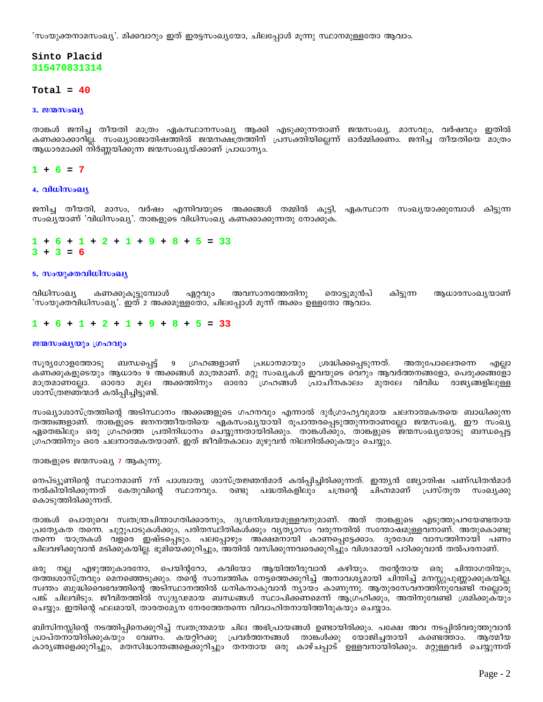'സംയുക്തനാമസംഖ്യ'. മിക്കവാറും ഇത് ഇരട്ടസംഖ്യയോ, ചിലപ്പോൾ മൂന്നു സ്ഥാനമുള്ളതോ ആവാം.

# Sinto Placid 315470831314

## Total =  $40$

#### 3. **200 moonly**

താങ്കൾ ജനിച്ച തീയതി മാത്രം ഏകസ്ഥാനസംഖ്യ ആക്കി എടുക്കുന്നതാണ് ജന്മസംഖ്യ. മാസവും, വർഷവും ഇതിൽ കണക്കാക്കാറില്ല. സംഖ്യാജോതിഷത്തിൽ ജന്മനക്ഷത്രത്തിന് പ്രസക്തിയില്ലെന്ന് ഓർമ്മിക്കണം. ജനിച്ച തീയതിയെ മാത്രം ആധാരമാക്കി നിർണ്ണയിക്കുന്ന ജന്മസംഖ്യയ്ക്കാണ് പ്രാധാന്യം.

## $1 + 6 = 7$

#### $4.$  വിധിസംഖ്യ

ജനിച്ച തീയതി, മാസം, വർഷം എന്നിവയുടെ അക്കങ്ങൾ തമ്മിൽ കൂട്ടി, ഏകസ്ഥാന സംഖ്യയാക്കുമ്പോൾ കിട്ടുന്ന സംഖ്യയാണ് 'വിധിസംഖ്യ'. താങ്കളുടെ വിധിസംഖ്യ കണക്കാക്കുന്നതു നോക്കുക.

 $1 + 6 + 1 + 2 + 1 + 9 + 8 + 5 = 33$  $3 + 3 = 6$ 

#### 5. സംയുക്തവിധിസംഖ്യ

വിധിസംഖ്യ കണക്കുകൂട്ടുമ്പോൾ ഏറ്റവും അവസാനത്തേതിനു തൊട്ടുമുൻപ് കിട്ടുന്ന ആധാരസംഖ്യയാണ് 'സംയുക്തവിധിസംഖ്യ'. ഇത് 2 അക്കമുള്ളതോ, ചിലപ്പോൾ മൂന്ന് അക്കം ഉള്ളതോ ആവാം.

#### $1+6+1+2+1+9+8+5=33$

#### ജന്മസംഖ്യയും ഗ്രഹവും

സൂര്യഗോളത്തോടു ബന്ധപ്പെട്ട് 9 ഗ്രഹങ്ങളാണ് പ്രധാനമായും ശ്രദ്ധിക്കപ്പെടുന്നത്. അതുപോലെതന്നെ എല്ലാ കണക്കുകളുടെയും ആധാരം 9 അക്കങ്ങൾ മാത്രമാണ്. മറ്റു സംഖ്യകൾ ഇവയുടെ വെറും ആവർത്തനങ്ങളോ, പെരുക്കങ്ങളോ മാത്രമാണല്ലോ. ഓരോ മൂല അക്കത്തിനും ഓരോ ഗ്രഹങ്ങൾ പ്രാചീനകാലം മുതലേ വിവിധ രാജ്യങ്ങളിലുള്ള ശാസ്ത്രജ്ഞന്മാർ കൽപ്പിച്ചിട്ടുണ്ട്.

സംഖ്യാശാസ്ത്രത്തിന്റെ അടിസ്ഥാനം അക്കങ്ങളുടെ ഗഹനവും എന്നാൽ ദുർഗ്രാഹ്യവുമായ ചലനാത്മകതയെ ബാധിക്കുന്ന തത്ത്വങ്ങളാണ്. താങ്കളുടെ ജനനത്തീയതിയെ ഏകസംഖ്യയായി രൂപാന്തരപ്പെടുത്തുന്നതാണല്ലോ ജന്മസംഖ്യ. ഈ സംഖ്യ ഏതെങ്കിലും ഒരു ഗ്രഹത്തെ പ്രതിനിധാനം ചെയ്യുന്നതായിരിക്കും. താങ്കൾക്കും, താങ്കളുടെ ജന്മസംഖ്യയോടു ബന്ധപ്പെട്ട ശ്രഹത്തിനും ഒരേ ചലനാത്മകതയാണ്. ഇത് ജീവിതകാലം മുഴുവൻ നിലനിൽക്കുകയും ചെയ്യും.

താങ്കളുടെ ജന്മസംഖ്യ 7 ആകുന്നു.

നെപ്ട്യൂണിന്റെ സ്ഥാനമാണ് 7ന് പാശ്ചാത്യ ശാസ്ത്രജ്ഞൻമാർ കൽപ്പിച്ചിരിക്കുന്നത്. ഇന്ത്യൻ ജ്യോതിഷ പണ്ഡിതൻമാർ നൽകിയിരിക്കുന്നത് കേതുവിന്റെ സ്ഥാനവും. രണ്ടു പദ്ധതികളിലും ചന്ദ്രന്റെ ചിഹ്നമാണ് പ്രസ്തുത സംഖ്യക്കു കൊടുത്തിരിക്കുന്നത്.

താങ്കൾ പൊതുവെ സ്വതന്ത്രചിന്താഗതിക്കാരനും, ദൃഢനിശ്ചയമുള്ളവനുമാണ്. അത് താങ്കളുടെ എടുത്തുപറയേണ്ടതായ പ്രത്യേകത തന്നെ. ചുറ്റുപാടുകൾക്കും, പരിതസ്ഥിതികൾക്കും വ്യത്യാസം വരുന്നതിൽ സന്തോഷമുള്ളവനാണ്. അതുകൊണ്ടു തന്നെ യാത്രകൾ വളരെ ഇഷ്ടപ്പെടും. പലപ്പോഴും അക്ഷമനായി കാണപ്പെട്ടേക്കാം. ദൂരദേശ വാസത്തിനായി പണം ചിലവഴിക്കുവാൻ മടിക്കുകയില്ല. ഭൂമിയെക്കുറിച്ചും, അതിൽ വസിക്കുന്നവരെക്കുറിച്ചും വിശദമായി പഠിക്കുവാൻ തൽപരനാണ്.

ഒരു നല്ല എഴുത്തുകാരനോ, പെയിന്ററോ, കവിയോ ആയിത്തീരുവാൻ കഴിയും. തന്റേതായ ഒരു ചിന്താഗതിയും, തത്ത്വശാസ്ത്രവും മെനഞ്ഞെടുക്കും. തന്റെ സാമ്പത്തിക നേട്ടത്തെക്കുറിച്ച് അനാവശ്യമായി ചിന്തിച്ച് മനസ്സുപുണ്ണാക്കുകയില്ല. സ്വന്തം ബുദ്ധിവൈഭവത്തിന്റെ അടിസ്ഥാനത്തിൽ ധനികനാകുവാൻ ന്യായം കാണുന്നു. ആതുരസേവനത്തിനുവേണ്ടി നല്ലൊരു പങ്ക് ചിലവിടും. ജീവിതത്തിൽ സുദൃഢമായ ബന്ധങ്ങൾ സ്ഥാപിക്കണമെന്ന് ആഗ്രഹിക്കും, അതിനുവേണ്ടി ശ്രമിക്കുകയും ചെയ്യും. ഇതിന്റെ ഫലമായി, താരതമ്യേന നേരത്തേതന്നെ വിവാഹിതനായിത്തീരുകയും ചെയ്യാം.

ബിസിനസ്സിന്റെ നടത്തിപ്പിനെക്കുറിച്ച് സ്വതന്ത്രമായ ചില അഭിപ്രായങ്ങൾ ഉണ്ടായിരിക്കും. പക്ഷേ അവ നടപ്പിൽവരുത്തുവാൻ പ്രാപ്തനായിരിക്കുകയും വേണം. കയറ്റിറക്കു പ്രവർത്തനങ്ങൾ താങ്കൾക്കു യോജിച്ചതായി കണ്ടെത്താം. അത്തീയ കാരൃങ്ങളെക്കുറിച്ചും, മതസിദ്ധാന്തങ്ങളെക്കുറിച്ചും തനതായ ഒരു കാഴ്ചപ്പാട് ഉള്ളവനായിരിക്കും. മറ്റുള്ളവർ ചെയ്യുന്നത്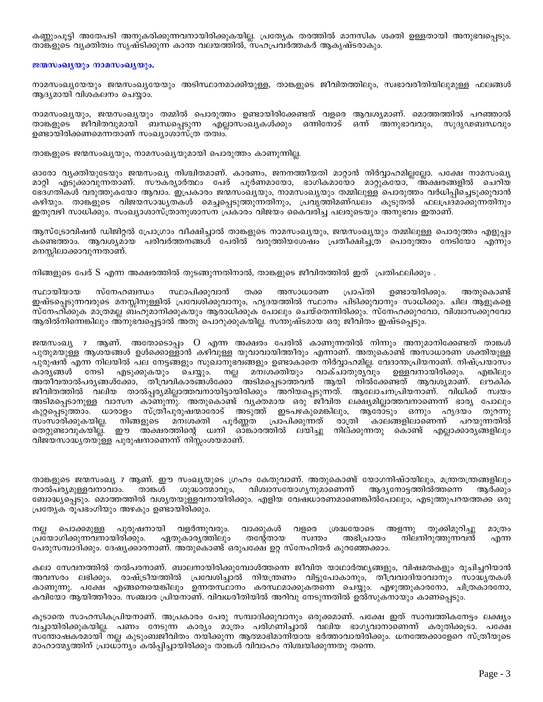കണ്ണുംപൂട്ടി അതേപടി അനുകരിക്കുന്നവനായിരിക്കുകയില്ല. പ്രത്യേക തരത്തിൽ മാനസിക ശക്തി ഉള്ളതായി അനുഭവപ്പെടും. താങ്കളുടെ വ്യക്തിത്വം സൃഷ്ടിക്കുന്ന കാന്ത വലയത്തിൽ, സഹപ്രവർത്തകർ ആകൃഷ്ടരാകും.

#### ജന്മസംഖ്യയും നാമസംഖ്യയും.

നാമസംഖ്യയേയും ജന്മസംഖ്യയേയും അടിസ്ഥാനമാക്കിയുള്ള, താങ്കളുടെ ജീവിതത്തിലും, സ്വഭാവരീതിയിലുമുള്ള ഫലങ്ങൾ ആദ്യമായി വിശകലനം ചെയ്യാം.

നാമസംഖ്യയും, ജന്മസംഖ്യയും തമ്മിൽ പൊരുത്തം ഉണ്ടായിരിക്കേണ്ടത് വളരെ ആവശ്യമാണ്. മൊത്തത്തിൽ പറഞ്ഞാൽ താങ്കളുടെ ജീവിതവുമായി ബന്ധപ്പെടുന്ന എല്ലാസംഖ്യകൾക്കും ഒന്നിനോട് ഒന്ന് അനുഭാവവും, സുദൃഢബന്ധവും ഉണ്ടായിരിക്കണമെന്നതാണ് സംഖ്യാശാസ്ത്ര തത്വം.

താങ്കളുടെ ജന്മസംഖ്യയും, നാമസംഖ്യയുമായി പൊരുത്തം കാണുന്നില്ല.

ഓരോ വ്യക്തിയുടേയും ജന്മസംഖ്യ നിശ്ചിതമാണ്. കാരണം, ജനനത്തീയതി മാറ്റാൻ നിർവ്വാഹമില്ലല്ലോ. പക്ഷേ നാമസംഖ്യ മാറ്റി എട്ടുക്കാവുന്നതാണ്. സൗക്രൃാർത്ഥം പേര് പൂർണമായോ, ഭാഗികമായോ മാറ്റുകയോ,് അ്ക്ഷരങ്ങളിൽ ചെറിയ ഭേദഗതികൾ വരുത്തുകയോ ആവാം. ഇപ്രകാരം ജന്മസംഖ്യയും, നാമസംഖ്യയും തമ്മിലുള്ള പൊരുത്തം വർധിപ്പിച്ചെടുക്കുവാൻ കഴിയും. താങ്കളുടെ വിജയസാദ്ധ്യതകൾ മെച്ചപ്പെടുത്തുന്നതിനും, പ്രവൃത്തിമണ്ഡലം കൂടുതൽ ഫലപ്രദ്മാക്കുന്നതിനും ഇതുവഴി സാധിക്കും. സംഖ്യാശാസ്ത്രാനുശാസന പ്രകാരം വിജയം കൈവരിച്ച പലരുടെയും അനുഭവം ഇതാണ്.

ആസ്ട്രോവിഷൻ ഡിജിറ്റൽ പ്രോഗ്രാം വീക്ഷിച്ചാൽ താങ്കളുടെ നാമസംഖ്യയും, ജന്മസംഖ്യയും തമ്മിലുള്ള പൊരുത്തം എളുപ്പം കണ്ടെത്താം. ആവശ്യമായ പരിവർത്തനങ്ങൾ പേരിൽ വരുത്തിയശേഷം പ്രതീക്ഷിച്ചത്ര പൊരുത്തം നേടിയോ എന്നും മനസ്സിലാക്കാവുന്നതാണ്.

നിങ്ങളുടെ പേര് S എന്ന അക്ഷരത്തിൽ തുടങ്ങുന്നതിനാൽ, താങ്കളുടെ ജീവിതത്തിൽ ഇത് പ്രതിഫലിക്കും .

സ്ഥായിയായ സ്നേഹബന്ധം സ്ഥാപിക്കുവാൻ തക്ക അസാധാരണ പ്രാപ്തി ഉണ്ടായിരിക്കും. അതുകൊണ്ട് ഇഷ്ടപ്പെടുന്നവരുടെ മനസ്സിനുള്ളിൽ പ്രവേശിക്കുവാനും, ഹൃദയത്തിൽ സ്ഥാനം പിടിക്കുവാനും സാധിക്കും. ചില ആളുകളെ സ്നേഹി്ക്കുക മാത്രമല്ല ബ്ഹുമാനിക്കുകയും ആരാധിക്കുക പോലും ചെയ്തെന്നിരിക്കും. സ്നേഹക്കുറവോ, വിശ്വാസക്കുറവോ ആരിൽനിന്നെങ്കിലും അനുഭവപ്പെട്ടാൽ അതു പൊറുക്കുകയില്ല. സന്തുഷ്ടമായ ഒരു ജീവിതം ഇഷ്ടപ്പെടും.

ജന്മസംഖ്യ 7 ആണ്. അതോടൊപ്പം O എന്ന അക്ഷരം പേരിൽ കാണുന്നതിൽ നിന്നും അനുമാനിക്കേണ്ടത് താങ്കൾ പുതുമയുള്ള ആശയങ്ങൾ ഉൾക്കൊള്ളാൻ കഴിവുള്ള യുവാവായിത്തീരും എന്നാണ്. അതുകൊണ്ട് അസാധാരണ ശക്തിയുള്ള പുരുഷൻ എന്ന നിലയിൽ പല നേട്ടങ്ങളും സുഖാനുഭവങ്ങളും ഉണ്ടാകാതെ നിർവ്വാഹമില്ല. വേദാന്തപ്രിയനാണ്. നിഷ്പ്രയാസം കാര്യങ്ങൾ നേടി എടുക്കുകയും ചെയ്യും. നല്ല മനഃശക്തിയും വാക്ചാതുര്യവും ഉള്ളവനായിരിക്കും. എങ്കിലും അതീവതാൽപരൃങ്ങൾക്കോ, തീവ്രവികാരങ്ങൾക്കോ് അടിമപ്പെടാത്തവൻ ആയി നിൽക്കേണ്ടത് ആവശ്യമാണ്. ലൗകിക ജീവിതത്തിൽ വലിയ താൽപ്പര്യമില്ലാത്തവനായിട്ടായിരിക്കും ആനിയപ്പെടുന്നത്. ആലോചനപ്രിയനാണ്. വിധിക്ക് സ്വയം അടിമപ്പെടാനുള്ള വാസന കാണുന്നു. അതുകൊണ്ട് വൃക്തമായ ഒരു ്ജീവിത ലക്ഷ്യമില്ലാത്തവനാണെന്ന് ഭാര്യ പോലും കുറ്റപെടുത്താം. ധാരാളം സ്ത്രീപുരുഷന്മാരോട് അടുത്ത് ഇടപഴകുമെങ്കിലും, ആരോടും ഒന്നും ഹൃദയം തുറന്നു സംസാരിക്കുകയില്ല. നിങ്ങളുടെ മനഃശക്തി പൂർണ്ണത പ്രാപിക്കുന്നത് രാത്രി കാലങ്ങളിലാണെന്ന് പറയുന്നതിൽ തെറ്റുണ്ടാവുകയില്ല്. ഈ അക്ഷരത്തിന്റെ ധനി ഓങ്കാരത്തിൽ ലയിച്ചു നില്ക്കുന്നതു കൊണ്ട് എല്ലാക്കാര്യങ്ങളിലും വിജയസാദ്ധ്യതയുള്ള പുരുഷനാണെന്ന് നിസ്സംശയമാണ്.

താങ്കളുടെ ജന്മസംഖ്യ 7 ആണ്. ഈ സംഖ്യയുടെ ഗ്രഹം കേതുവാണ്. അതുകൊണ്ട് യോഗനിഷ്ഠയിലും, മന്ത്രത്രങ്ങളിലും വിശ്വാസയോഗ്യനുമാണെന്ന് താൽപര്യമുള്ളവനാവാം. താങ്കൾ ശുദ്ധാത്മാവും, ആദ്യനോട്ടത്തിൽത്തന്നെ ആർക്കും ബോദ്ധ്യപ്പെടും. മൊത്തത്തിൽ വശ്യതയുള്ളവനായിരിക്കും. എളിയ വേഷധാരണമാണെങ്കിൽപോലും, എടുത്തുപറയത്തക്ക ഒരു പ്രത്യേക രൂപഭംഗിയും അഴകും ഉണ്ടായിരിക്കും.

പുരുഷനായി തുക്കിമുറിച്ചു വളർന്നുവരും. അളന്നു നല്ല പൊക്കമുള്ള വാക്കുകൾ വളരെ ശ്രദ്ധയോടെ മാത്രം പ്രയോഗിക്കുന്നവനായിരിക്കും. ഏതുകാര്യത്തിലും തന്റേതായ സ്വന്തം അഭിപ്രായം നിലനിറുത്തുന്നവൻ എന്ന പേരുസമ്പാദിക്കും. ദേഷ്യക്കാരനാണ്. അതുകൊണ്ട് ഒരുപക്ഷേ ഉറ്റ സ്നേഹിതർ കുറഞ്ഞേക്കാം.

കലാ സേവനത്തിൽ തൽപരനാണ്. ബാലനായിരിക്കുമ്പോൾത്തന്നെ ജീവിത യാഥാർത്ഥ്യങ്ങളും, വിഷമതകളും രുചിച്ചറിയാൻ അവസരം ലഭിക്കും. രാഷ്ട്രീയത്തിൽ പ്രവേശിച്ചാൽ നിയന്ത്രണം വിട്ടുപോകാനും, തീവ്രവാദിയാവാനും സാദ്ധൃതകൾ കാണുന്നു. പക്ഷേ എങ്ങനെയെങ്കിലും ഉന്നതസ്ഥാനം കരസ്ഥമാക്കുകതന്നെ ചെയ്യും. എഴുത്തുകാരനോ, ചിത്രകാരനോ, കവിയോ ആയിത്തീരാം. സഞ്ചാര പ്രിയനാണ്. വിവധരീതിയിൽ അറിവു നേടുന്നതിൽ ഉൽസുകനായും കാണപ്പെടും.

കൂടാതെ സാഹസികപ്രിയനാണ്. അപ്രകാരം പേരു സമ്പാദിക്കുവാനും ഒരുക്കമാണ്. പക്ഷേ ഇത് സാമ്പത്തികനേട്ടം ലക്ഷ്യം വച്ചായിരിക്കുകയില്ല. പണം നേടുന്ന കാര്യം മാത്രം പരിഗണിച്ചാൽ വലിയ ഭാഗ്യവാനാണെന്ന് കരുതിക്കൂടാ. പക്ഷേ സന്തോഷകരമായി നല്ല കുടുംബജീവിതം നയിക്കുന്ന ആത്മാഭിമാനിയായ ഭർത്താവായിരിക്കും. ധനത്തേക്കാളേറെ സ്ത്രീയുടെ മാഹാത്മ്യത്തിന് പ്രാധാന്യം കൽപ്പിച്ചായിരിക്കും താങ്കൾ വിവാഹം നിശ്ചയിക്കുന്നതു തന്നെ.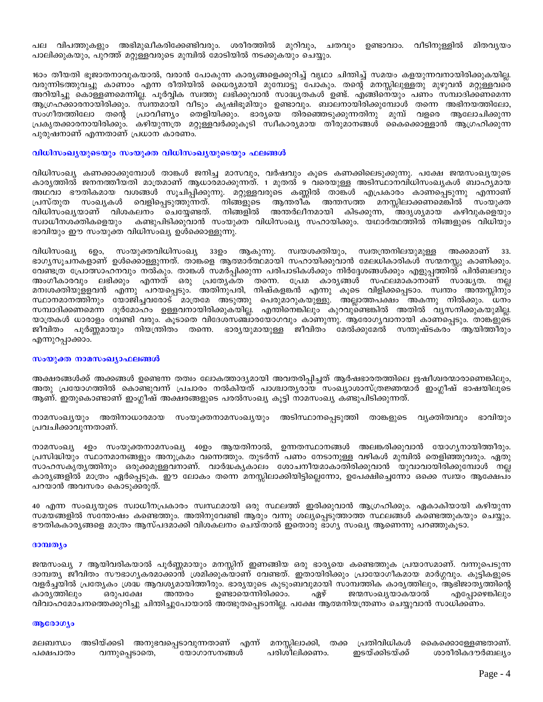പല വിപത്തുകളും അഭിമുഖീകരിക്കേണ്ടിവരും. ശരീരത്തിൽ മുറിവും, ചതവും ഉണ്ടാവാം. വീടിനുള്ളിൽ മിതവൃയം പാലിക്കുകയും, പുറത്ത് മറ്റുള്ളവരുടെ മുമ്പിൽ മോടിയിൽ നടക്കുകയും ചെയ്യും.

16ാം തീയതി ഭൂജാതനാവുകയാൽ, വരാൻ പോകുന്ന കാര്യങ്ങളെക്കുറിച്ച് വൃഥാ ചിന്തിച്ച് സമയം കളയുന്നവനായിരിക്കുകയില്ല. വരുന്നിടത്തുവച്ചു കാണാം എന്ന രീതിയിൽ ധൈര്യമായി മുമ്പോട്ടു പോകും. തന്റെ മനസ്സിലുള്ളതു മുഴുവൻ മറ്റുള്ളവരെ് അറിയിച്ചു കൊള്ളണമെന്നില്ല. പൂർവ്വിക സ്വത്തു ലഭിക്കുവാൻ സാദ്ധ്യതകൾ ഉണ്ട്. എങ്ങിനെയും പണം സമ്പാദിക്കണമെന്ന ആഗ്രഹക്കാരനായിരിക്കും. സ്വന്തമായി വീടും കൃഷിഭൂമിയും ഉണ്ടാവും. ബാലനായിരിക്കുമ്പോൾ തന്നെ അഭിനയത്തിലോ, സംഗീതത്തിലോ തന്റെ പ്രാവീണ്യം തെളിയിക്കും. ഭാര്യയെ തിരഞ്ഞെടുക്കുന്നതിനു മുമ്പ് വളരെ ആലോചിക്കുന്ന പ്രകൃതക്കാരനായിരിക്കും. കഴിയുന്നത്ര മറ്റുള്ളവർക്കുകൂടി സ്വീകാര്യമായ തീരുമാനങ്ങൾ കൈക്കൊള്ളാൻ ആഗ്രഹിക്കുന്ന പുരുഷനാണ് എന്നതാണ് പ്രധാന കാരണം.

## വിധിസംഖ്യയുടെയും സംയുക്ത വിധിസംഖ്യയുടെയും ഫലങ്ങൾ

വിധിസംഖ്യ കണക്കാക്കുമ്പോൾ താങ്കൾ ജനിച്ച മാസവും, വർഷവും കൂടെ കണക്കിലെടുക്കുന്നു. പക്ഷേ ജന്മസംഖ്യയുടെ കാര്യത്തിൽ ജനനത്തീയതി മാത്രമാണ് ആധാരമാക്കുന്നത്. 1 മുതൽ 9 വരെയുള്ള അടിസ്ഥാനവിധിസംഖ്യകൾ ബാഹ്യമായ അഥവാ ഭൗതികമായ വശങ്ങൾ സൂചിപ്പിക്കുന്നു. മറ്റുള്ളവരുടെ കണ്ണിൽ താങ്കൾ എപ്രകാരം കാണപ്പെടുന്നു എന്നാണ് വെളിപ്പെടുത്തുന്നത്. നിങ്ങളുടെ പ്രസ്തുത സംഖ്യകൾ ആന്തരീക അന്തസത്ത മനസ്സിലാക്കണമെങ്കിൽ സംയുക്ത വിധിസംഖ്യയാണ് വിശകലനം ചെയ്യേണ്ടത്. നിങ്ങളിൽ അന്തർലീനമായി കിടക്കുന്ന, അദൃശ്യമായ കഴിവുകളെയും സ്വാധീനശക്തികളെയും കണ്ടുപിടിക്കുവാൻ സംയുക്ത വിധിസംഖ്യ സഹായിക്കും. യഥാർത്ഥത്തിൽ നിങ്ങളുടെ വിധിയും ഭാവിയും ഈ സംയുക്ത വിധിസംഖ്യ ഉൾക്കൊള്ളുന്നു.

വിധിസംഖ്യ 6ഉം, സംയുക്തവിധിസംഖ്യ 33ഉം ആകുന്നു. സ്വയശക്തിയും, സ്വതന്ത്രനിലയുമുള്ള അക്കമാണ് 33. ഭാഗൃസൂചനകളാണ് ഉൾക്കൊള്ളുന്നത്. താങ്കളെ ആത്മാർത്ഥമായി സഹായിക്കുവാൻ മേലധികാരികൾ സന്മനസ്സു കാണിക്കും. വേണ്ടത്ര പ്രോത്സാഹനവും നൽകും. താങ്കൾ സമർപ്പിക്കുന്ന പരിപാടികൾക്കും നിർദ്ദേശങ്ങൾക്കും എളുപ്പത്തിൽ പിൻബലവും അംഗീകാരവും ലഭിക്കും എന്നത് ഒരു പ്രത്യേകത തന്നെ. പ്രേമ കാര്യങ്ങൾ സഫലമാകാനാണ് സാദ്ധ്യത. നല്ല മനഃശക്തിയുളളവൻ എന്നു പറയപ്പെടും. അതിനുപരി, നിഷ്കളങ്കൻ എന്നു കൂടെ വിളിക്കപ്പെടാം. സ്ഥതം അന്തസ്സിനും സ്ഥാനമാനത്തിനും യോജിച്ചവരോട് മാത്രമേ അടുത്തു പെരുമാറുകയുള്ളു. അല്ലാത്തപക്ഷം അകന്നു നിൽക്കും. ധനം സമ്പാദിക്കണമെന്ന ദുർമോഹം ഉള്ളവനായിരിക്കുകയില്ല. എന്തിനെങ്കിലും കുറവുണ്ടെങ്കിൽ അതിൽ വ്യസനിക്കുകയുമില്ല. യാത്രകൾ ധാരാളം വേണ്ടി വരും. കൂടാതെ വിദേശസഞ്ചാരയോഗവും കാണുന്നു. ആരോഗൃവാനായി കാണപ്പെടും. താങ്കളുടെ ജീവിതം പൂർണ്ണമായും നിയന്ത്രിതം തന്നെ. ഭാര്യയുമായുള്ള ജീവിതം മേൽക്കുമേൽ സന്തുഷ്ടകരം ആയിത്തീരും എന്നുറപ്പാക്കാം.

## സംയുക്ത നാമസംഖ്യാഫലങ്ങൾ

അക്ഷരങ്ങൾക്ക് അക്കങ്ങൾ ഉണ്ടെന്ന തത്വം ലോകത്താദ്യമായി അവതരിപ്പിച്ചത് ആർഷഭാരതത്തിലെ ഋഷീശ്വരന്മാരാണെങ്കിലും, അതു പ്രയോഗത്തിൽ കൊണ്ടുവന്ന് പ്രചാരം നൽകിയത് പാശ്ചാതൃരായ സംഖ്യാശാസ്ത്രജ്ഞന്മാർ ഇംഗ്ലീഷ് ഭാഷയിലൂടെ ആണ്. ഇതുകൊണ്ടാണ് ഇംഗ്ലീഷ് അക്ഷരങ്ങളുടെ പരൽസംഖ്യ കൂട്ടി നാമസംഖ്യ കണ്ടുപിടിക്കുന്നത്.

നാമസംഖ്യയും അതിനാധാരമായ സംയുക്തനാമസംഖ്യയും അടിസ്ഥാനപ്പെടുത്തി താങ്കളുടെ വ്യക്തിത്വവും ഭാവിയും പ്രവചിക്കാവുന്നതാണ്.

നാമസംഖ്യ 4ഉം സംയുക്തനാമസംഖ്യ 40ഉം ആയതിനാൽ, ഉന്നതസ്ഥാനങ്ങൾ അലങ്കരിക്കുവാൻ യോഗ്യനായിത്തീരും. പ്രസിദ്ധിയും സ്ഥാനമാനങ്ങളും അനുക്രമം വന്നെത്തും. തുടർന്ന് പണം നേടാനുള്ള വഴികൾ മുമ്പിൽ തെളിഞ്ഞുവരും. ഏതു സാഹസകൃത്യത്തിനും ഒരുക്കമുള്ളവനാണ്. വാർദ്ധകൃകാലം ശോചനീയമാകാതിരിക്കുവാൻ യുവാവായിരിക്കുമ്പോൾ നല്ല കാര്യങ്ങളിൽ മാത്രം ഏർപ്പെടുക. ഈ ലോകം തന്നെ മനസ്സിലാക്കിയിട്ടില്ലെന്നോ, ഉപേക്ഷിച്ചെന്നോ ഒക്കെ സ്വയം ആക്ഷേപ്ം പറയാൻ അവസരം കൊടുക്കരുത്.

40 എന്ന സംഖ്യയുടെ സ്വാധീനപ്രകാരം സ്വസ്ഥമായി ഒരു സ്ഥലത്ത് ഇരിക്കുവാൻ ആഗ്രഹിക്കും. ഏകാകിയായി കഴിയുന്ന സമയങ്ങളിൽ സന്തോഷം കണ്ടെത്തും. അതിനുവേണ്ടി ആരും വന്നു ശല്യപ്പെടുത്താത്ത സ്ഥലങ്ങൾ കണ്ടെത്തുകയും ചെയ്യും. ഭൗതികകാര്യങ്ങളെ മാത്രം ആസ്പദമാക്കി വിശകലനം ചെയ്താൽ ഇതൊരു ഭാഗ്യ സംഖ്യ ആണെന്നു പറഞ്ഞുകൂടാ.

### ദാമ്പത്യം

ജന്മസംഖ്യ 7 ആയിവരികയാൽ പൂർണ്ണമായും മനസ്സിന് ഇണങ്ങിയ ഒരു ഭാര്യയെ കണ്ടെത്തുക പ്രയാസമാണ്. വന്നുപെടുന്ന ദാമ്പത്യ ജീവിതം സൗഭാഗ്യകരമാക്കാൻ ശ്രമിക്കുകയാണ് വേണ്ടത്. ഇതായിരിക്കും പ്രായോഗീകമായ മാർഗ്ഗവും. കുട്ടികളുടെ വളർച്ചയിൽ പ്രത്യേകം ശ്രദ്ധ ആവശ്യമായിത്തീരും. ഭാര്യയുടെ കുടുംബവുമായി സാമ്പത്തിക കാര്യത്തിലും, ആഭിജാതൃത്തിന്റെ കാര്യത്തിലും ഒരുപക്ഷേ അന്തരം ഉണ്ടായെന്നിരിക്കാം. ഏഴ് ജന്മസംഖ്യയാകയാൽ എപ്പോഴെങ്കിലും വിവാഹമോചനത്തെക്കുറിച്ചു ചിന്തിച്ചുപോയാൽ അത്ഭുതപ്പെടാനില്ല. പക്ഷേ ആത്മനിയന്ത്രണം ചെയ്യുവാൻ സാധിക്കണം.

### ആരോഗ്യം

മലബന്ധം അടിയ്ക്കടി അനുഭവപ്പെടാവുന്നതാണ് എന്ന് മനസ്സിലാക്കി, തക്ക പ്രതിവിധികൾ കൈക്കൊള്ളേണ്ടതാണ്. പരിശീലിക്കണം. ശാരീരികദൗർബല്യം വന്നുപ്പെടാതെ, യോഗാസനങ്ങൾ ഇടയ്ക്കിടയ്ക്ക് പക്ഷപാതം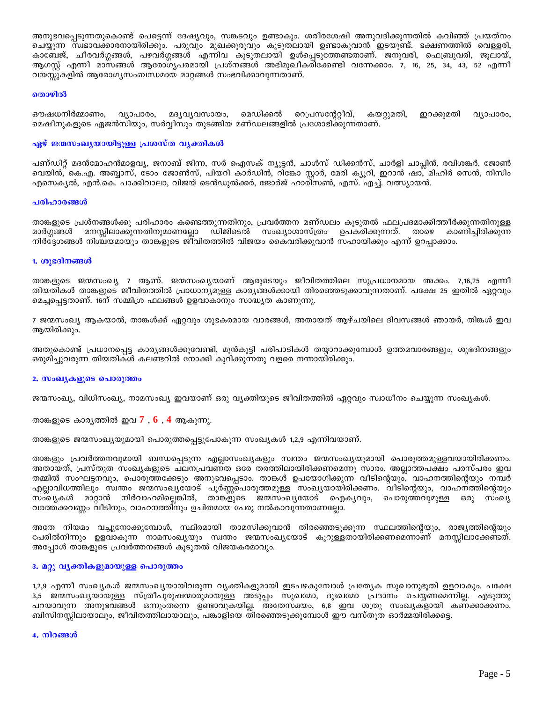അനുഭവപ്പെടുന്നതുകൊണ്ട് പെട്ടെന്ന് ദേഷ്യവും, സങ്കടവും ഉണ്ടാകും. ശരീരശേഷി അനുവദിക്കുന്നതിൽ കവിഞ്ഞ് പ്രയത്നം ചെയ്യുന്ന സ്വഭാവക്കാരനായിരിക്കും. പരുവും മുഖക്കുരുവും കൂടുതലായി ഉണ്ടാകുവാൻ ഇടയുണ്ട്. ഭക്ഷണത്തിൽ വെള്ളരി, കാബേജ്, ചീരവർഗ്ഗങ്ങൾ, പഴവർഗ്ഗങ്ങൾ എന്നിവ കൂടുതലായി ഉൾപ്പെടുത്തേണ്ടതാണ്. ജനുവരി, ഫെബ്രുവരി, ജൂലായ്, ആഗസ്പ് എന്നീ മാസങ്ങൾ ആരോഗ്യപരമായി പ്രശ്നങ്ങൾ അഭിമുഖീകരിക്കേണ്ടി വന്നേക്കാം. 7, 16, 25, 34, 43, 52 എന്നീ വയസ്സുകളിൽ ആരോഗ്യസംബന്ധമായ മാറ്റങ്ങൾ സംഭവിക്കാവുന്നതാണ്.

#### തൊഴിൽ

ഔഷധനിർമ്മാണം, വ്യാപാരം, മദ്യവ്യവസായം, മെഡിക്കൽ റെപ്രസന്റേറ്റീവ്, കയറ്റുമതി, ഇറക്കുമതി വ്യാപാരം, മെഷീനുകളുടെ ഏജൻസിയും, സർവ്വീസും തുടങ്ങിയ മണ്ഡലങ്ങളിൽ പ്രശോഭിക്കുന്നതാണ്.

## ഏഴ് ജന്മസംഖ്യയായിട്ടുള്ള പ്രശസ്ത വൃക്തികൾ

പണ്ഡിറ്റ് മദൻമോഹൻമാളവ്യ, ജനാബ് ജിന്ന, സർ ഐസക് ന്യൂട്ടൻ, ചാൾസ് ഡിക്കൻസ്, ചാർളി ചാപ്പിൻ, രവിശങ്കർ, ജോൺ വെയിൻ, കെ.എ. അബ്ബാസ്, ടോം ജോൺസ്, പിയറി കാർഡിൻ, റിങ്കോ സ്റ്റാർ, മേരി ക്യൂറി, ഇറാൻ ഷാ, മിഹിർ സെൻ, നിസിം എസെകൃൽ, എൻ.കെ. പാക്കിവാലാ, വിജയ് ടെൻഡുൽക്കർ, ജോർജ് ഹാരിസൺ, എസ്. എച്ച്. വത്സ്യായൻ.

#### പരിഹാരങ്ങൾ

താങ്കളുടെ പ്രശ്നങ്ങൾക്കു പരിഹാരം കണ്ടെത്തുന്നതിനും, പ്രവർത്തന മണ്ഡലം കൂടുതൽ ഫലപ്രദമാക്കിത്തീർക്കുന്നതിനുള്ള മാർഗ്ഗങ്ങൾ മനസ്സിലാക്കുന്നതിനുമാണല്ലോ ഡിജിടെൽ സംഖ്യാശാസ്ത്രം ഉപകരിക്കുന്നത്. താഴെ കാണിച്ചിരിക്കുന്ന നിർദ്ദേശങ്ങൾ നിശ്ചയമായും താങ്കളുടെ ജീവിതത്തിൽ വിജയം കൈവരിക്കുവാൻ സഹായിക്കും എന്ന് ഉറപ്പാക്കാം.

#### 1. ശുഭദിനങ്ങൾ

താങ്കളുടെ ജന്മസംഖ്യ 7 ആണ്. ജന്മസംഖ്യയാണ് ആരുടെയും ജീവിതത്തിലെ സുപ്രധാനമായ അക്കം. 7,16,25 എന്നീ തിയതികൾ താങ്കളുടെ ജീവിതത്തിൽ പ്രാധാന്യമുള്ള കാര്യങ്ങൾക്കായി തിരഞ്ഞെടുക്കാവുന്നതാണ്. പക്ഷേ 25 ഇതിൽ ഏറ്റവും മെച്ചപ്പെട്ടതാണ്. 16ന് സമ്മിശ്ര ഫലങ്ങൾ ഉളവാകാനും സാദ്ധ്യത കാണുന്നു.

7 ജന്മസംഖ്യ ആകയാൽ, താങ്കൾക്ക് ഏറ്റവും ശുഭകരമായ വാരങ്ങൾ, അതായത് ആഴ്ചയിലെ ദിവസങ്ങൾ ഞായർ, തിങ്കൾ ഇവ ആയിരിക്കും.

അതുകൊണ്ട് പ്രധാനപ്പെട്ട കാര്യങ്ങൾക്കുവേണ്ടി, മുൻകൂട്ടി പരിപാടികൾ തയ്യാറാക്കുമ്പോൾ ഉത്തമവാരങ്ങളും, ശുഭദിനങ്ങളും ഒരുമിച്ചുവരുന്ന തിയതികൾ കലണ്ടറിൽ നോക്കി കുറിക്കുന്നതു വളരെ നന്നായിരിക്കും.

#### 2. സംഖ്യകളുടെ പൊരുത്തം

ജന്മസംഖ്യ, വിധിസംഖ്യ, നാമസംഖ്യ ഇവയാണ് ഒരു വ്യക്തിയുടെ ജീവിതത്തിൽ ഏറ്റവും സ്വാധീനം ചെയ്യുന്ന സംഖ്യകൾ.

താങ്കളുടെ കാര്യത്തിൽ ഇവ  $7$  ,  $6$  ,  $4$  ആകുന്നു.

താങ്കളുടെ ജന്മസംഖ്യയുമായി പൊരുത്തപ്പെട്ടുപോകുന്ന സംഖ്യകൾ 1,2,9 എന്നിവയാണ്.

താങ്കളും പ്രവർത്തനവുമായി ബന്ധപ്പെടുന്ന എല്ലാസംഖ്യകളും സ്വന്തം ജന്മസംഖ്യയുമായി പൊരുത്തമുള്ളവയായിരിക്കണം. അതായത്, പ്രസ്തുത സംഖ്യകളുടെ ചലനപ്രവണ്ത ഒരേ തരത്തിലായിരിക്കണമെന്നു സാരം. അല്ലാത്തപക്ഷം പരസ്പരം ഇവ തമ്മിൽ സംഘട്ടനവും, പൊരുത്തക്കേടും അനുഭവപ്പെടാം. താങ്കൾ ഉപയോഗിക്കുന്ന വീടിന്റെയും, വാഹനത്തിന്റെയും നമ്പർ എല്ലാവിധത്തിലും സ്വന്തം ജന്മസംഖ്യയോട് പൂർണ്ണപൊരുത്തമുള്ള സംഖ്യയായിരിക്കണം. വീടിന്റെയും, വാഹനത്തിന്റെയും സംഖ്യകൾ മാറ്റാൻ നിർവാഹമില്ലെങ്കിൽ, താങ്കളുടെ ജന്മസംഖ്യയോട് ഐക്യവും, പൊരുത്തവുമുള്ള ഒരു സംഖ്യ വരത്തക്കവണ്ണം വീടിനും, വാഹനത്തിനും ഉചിതമായ പേരു നൽകാവുന്നതാണല്ലോ.

അതേ നിയമം വച്ചുനോക്കുമ്പോൾ, സ്ഥിരമായി താമസിക്കുവാൻ തിരഞ്ഞെടുക്കുന്ന സ്ഥലത്തിന്റെയും, രാജ്യത്തിന്റെയും പേരിൽനിന്നും ഉളവാകുന്ന നാമസംഖ്യയും സ്വന്തം ജന്മസംഖ്യയോട് കൂറുള്ളതായിരിക്കണമെന്നാണ് മനസ്സിലാക്കേണ്ടത്. അപ്പോൾ താങ്കളുടെ പ്രവർത്തനങ്ങൾ കൂടുതൽ വിജയകരമാവും.

### 3. മറ്റു വൃക്തികളുമായുള്ള പൊരുത്തം

1,2,9 എന്നീ സംഖ്യകൾ ജന്മസംഖ്യയായിവരുന്ന വ്യക്തികളുമായി ഇടപഴകുമ്പോൾ പ്രത്യേക സുഖാനുഭൂതി ഉളവാകും. പക്ഷേ 3,5 ജന്മസംഖ്യയായുള്ള സ്ത്രീപുരുഷന്മാരുമായുള്ള അടുപ്പം സുഖമോ, ദുഃഖമോ പ്രദാനം ചെയ്യണമെന്നില്ല. എടുത്തു പറയാവുന്ന അനുഭവങ്ങൾ ഒന്നുംതന്നെ ഉണ്ടാവുകയില്ല. അതേസമയം, 6,8 ഇവ ശത്രു സംഖ്യകളായി കണക്കാക്കണം. ബിസിനസ്സിലായാലും, ജീവിതത്തിലായാലും, പങ്കാളിയെ തിരഞ്ഞെടുക്കുമ്പോൾ ഈ വസ്തുത ഓർമ്മയിരിക്കട്ടെ.

### 4. നിറങ്ങൾ